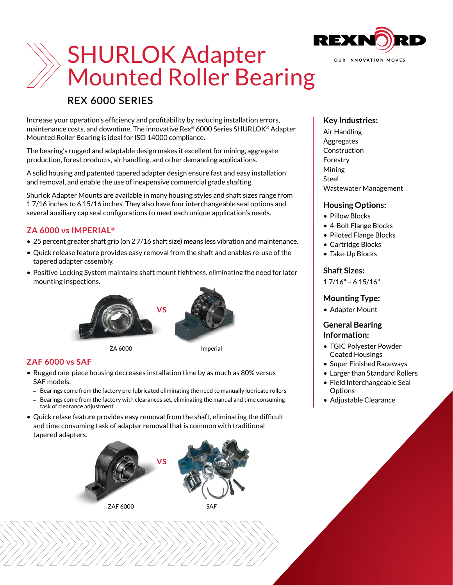

# SHURLOK Adapter Mounted Roller Bearing

## **REX 6000 SERIES**

Increase your operation's efficiency and profitability by reducing installation errors, maintenance costs, and downtime. The innovative Rex® 6000 Series SHURLOK® Adapter Mounted Roller Bearing is ideal for ISO 14000 compliance.

The bearing's rugged and adaptable design makes it excellent for mining, aggregate production, forest products, air handling, and other demanding applications.

A solid housing and patented tapered adapter design ensure fast and easy installation and removal, and enable the use of inexpensive commercial grade shafting.

Shurlok Adapter Mounts are available in many housing styles and shaft sizes range from 1 7/16 inches to 6 15/16 inches. They also have four interchangeable seal options and several auxiliary cap seal configurations to meet each unique application's needs.

#### **ZA 6000 vs IMPERIAL®**

- 25 percent greater shaft grip (on 2 7/16 shaft size) means less vibration and maintenance.
- Quick release feature provides easy removal from the shaft and enables re-use of the tapered adapter assembly.
- Positive Locking System maintains shaft mount tightness, eliminating the need for later mounting inspections.



### **ZAF 6000 vs SAF**

- Rugged one-piece housing decreases installation time by as much as 80% versus SAF models.
	- Bearings come from the factory pre-lubricated eliminating the need to manually lubricate rollers
	- Bearings come from the factory with clearances set, eliminating the manual and time consuming task of clearance adjustment
- Quick relase feature provides easy removal from the shaft, eliminating the difficult and time consuming task of adapter removal that is common with traditional tapered adapters.



#### **Key Industries:**

Air Handling Aggregates Construction Forestry Mining Steel Wastewater Management

#### **Housing Options:**

- Pillow Blocks
- 4-Bolt Flange Blocks
- Piloted Flange Blocks
- Cartridge Blocks
- Take-Up Blocks

#### **Shaft Sizes:**

1 7/16" – 6 15/16"

### **Mounting Type:**

• Adapter Mount

#### **General Bearing Information:**

- TGIC Polyester Powder Coated Housings
- Super Finished Raceways
- Larger than Standard Rollers
- Field Interchangeable Seal **Options**
- Adjustable Clearance